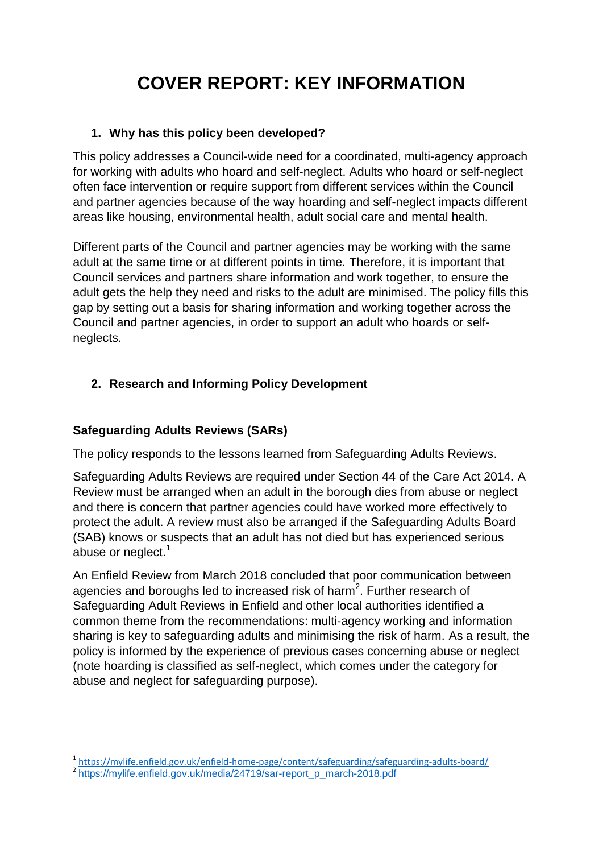# **COVER REPORT: KEY INFORMATION**

### **1. Why has this policy been developed?**

This policy addresses a Council-wide need for a coordinated, multi-agency approach for working with adults who hoard and self-neglect. Adults who hoard or self-neglect often face intervention or require support from different services within the Council and partner agencies because of the way hoarding and self-neglect impacts different areas like housing, environmental health, adult social care and mental health.

Different parts of the Council and partner agencies may be working with the same adult at the same time or at different points in time. Therefore, it is important that Council services and partners share information and work together, to ensure the adult gets the help they need and risks to the adult are minimised. The policy fills this gap by setting out a basis for sharing information and working together across the Council and partner agencies, in order to support an adult who hoards or selfneglects.

### **2. Research and Informing Policy Development**

### **Safeguarding Adults Reviews (SARs)**

The policy responds to the lessons learned from Safeguarding Adults Reviews.

Safeguarding Adults Reviews are required under Section 44 of the Care Act 2014. A Review must be arranged when an adult in the borough dies from abuse or neglect and there is concern that partner agencies could have worked more effectively to protect the adult. A review must also be arranged if the Safeguarding Adults Board (SAB) knows or suspects that an adult has not died but has experienced serious abuse or neglect.<sup>1</sup>

An Enfield Review from March 2018 concluded that poor communication between agencies and boroughs led to increased risk of harm<sup>2</sup>. Further research of Safeguarding Adult Reviews in Enfield and other local authorities identified a common theme from the recommendations: multi-agency working and information sharing is key to safeguarding adults and minimising the risk of harm. As a result, the policy is informed by the experience of previous cases concerning abuse or neglect (note hoarding is classified as self-neglect, which comes under the category for abuse and neglect for safeguarding purpose).

 1 <https://mylife.enfield.gov.uk/enfield-home-page/content/safeguarding/safeguarding-adults-board/>

<sup>&</sup>lt;sup>2</sup> [https://mylife.enfield.gov.uk/media/24719/sar-report\\_p\\_march-2018.pdf](https://mylife.enfield.gov.uk/media/24719/sar-report_p_march-2018.pdf)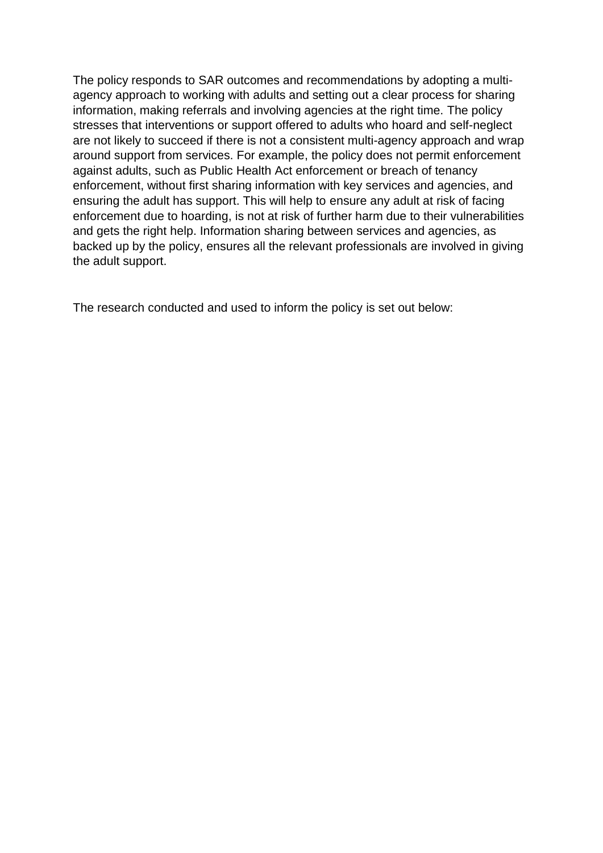The policy responds to SAR outcomes and recommendations by adopting a multiagency approach to working with adults and setting out a clear process for sharing information, making referrals and involving agencies at the right time. The policy stresses that interventions or support offered to adults who hoard and self-neglect are not likely to succeed if there is not a consistent multi-agency approach and wrap around support from services. For example, the policy does not permit enforcement against adults, such as Public Health Act enforcement or breach of tenancy enforcement, without first sharing information with key services and agencies, and ensuring the adult has support. This will help to ensure any adult at risk of facing enforcement due to hoarding, is not at risk of further harm due to their vulnerabilities and gets the right help. Information sharing between services and agencies, as backed up by the policy, ensures all the relevant professionals are involved in giving the adult support.

The research conducted and used to inform the policy is set out below: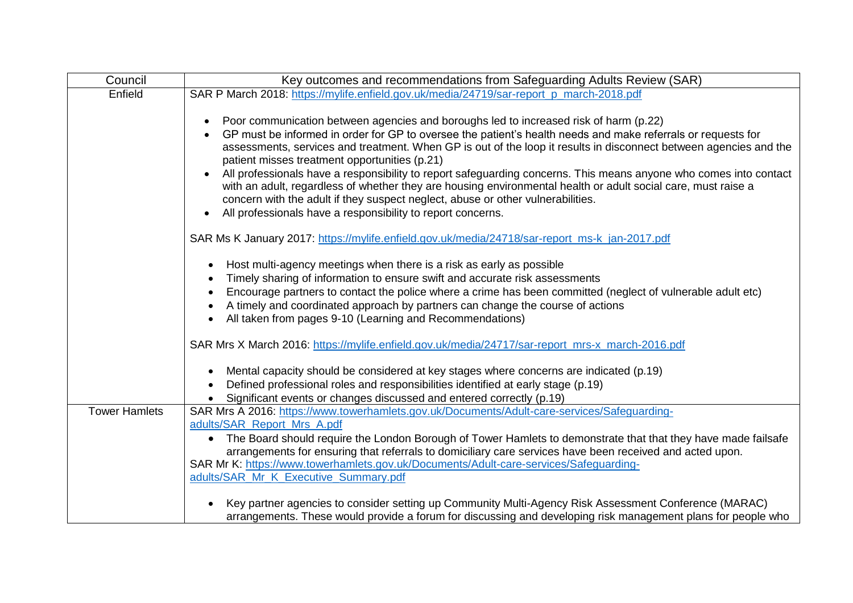| Council              | Key outcomes and recommendations from Safeguarding Adults Review (SAR)                                                                                                                                                                                                                                                                                                                                                                                                                                                                                                                                                                                                                                                                                              |
|----------------------|---------------------------------------------------------------------------------------------------------------------------------------------------------------------------------------------------------------------------------------------------------------------------------------------------------------------------------------------------------------------------------------------------------------------------------------------------------------------------------------------------------------------------------------------------------------------------------------------------------------------------------------------------------------------------------------------------------------------------------------------------------------------|
| Enfield              | SAR P March 2018: https://mylife.enfield.gov.uk/media/24719/sar-report_p_march-2018.pdf                                                                                                                                                                                                                                                                                                                                                                                                                                                                                                                                                                                                                                                                             |
|                      | Poor communication between agencies and boroughs led to increased risk of harm (p.22)<br>GP must be informed in order for GP to oversee the patient's health needs and make referrals or requests for<br>assessments, services and treatment. When GP is out of the loop it results in disconnect between agencies and the<br>patient misses treatment opportunities (p.21)<br>All professionals have a responsibility to report safeguarding concerns. This means anyone who comes into contact<br>with an adult, regardless of whether they are housing environmental health or adult social care, must raise a<br>concern with the adult if they suspect neglect, abuse or other vulnerabilities.<br>All professionals have a responsibility to report concerns. |
|                      | SAR Ms K January 2017: https://mylife.enfield.gov.uk/media/24718/sar-report_ms-k_jan-2017.pdf                                                                                                                                                                                                                                                                                                                                                                                                                                                                                                                                                                                                                                                                       |
|                      | Host multi-agency meetings when there is a risk as early as possible<br>٠<br>Timely sharing of information to ensure swift and accurate risk assessments<br>$\bullet$<br>Encourage partners to contact the police where a crime has been committed (neglect of vulnerable adult etc)<br>A timely and coordinated approach by partners can change the course of actions<br>All taken from pages 9-10 (Learning and Recommendations)                                                                                                                                                                                                                                                                                                                                  |
|                      | SAR Mrs X March 2016: https://mylife.enfield.gov.uk/media/24717/sar-report_mrs-x_march-2016.pdf                                                                                                                                                                                                                                                                                                                                                                                                                                                                                                                                                                                                                                                                     |
|                      | Mental capacity should be considered at key stages where concerns are indicated (p.19)<br>Defined professional roles and responsibilities identified at early stage (p.19)<br>Significant events or changes discussed and entered correctly (p.19)                                                                                                                                                                                                                                                                                                                                                                                                                                                                                                                  |
| <b>Tower Hamlets</b> | SAR Mrs A 2016: https://www.towerhamlets.gov.uk/Documents/Adult-care-services/Safeguarding-                                                                                                                                                                                                                                                                                                                                                                                                                                                                                                                                                                                                                                                                         |
|                      | adults/SAR Report Mrs A.pdf<br>The Board should require the London Borough of Tower Hamlets to demonstrate that that they have made failsafe<br>$\bullet$<br>arrangements for ensuring that referrals to domiciliary care services have been received and acted upon.<br>SAR Mr K: https://www.towerhamlets.gov.uk/Documents/Adult-care-services/Safequarding-<br>adults/SAR_Mr_K_Executive_Summary.pdf                                                                                                                                                                                                                                                                                                                                                             |
|                      | Key partner agencies to consider setting up Community Multi-Agency Risk Assessment Conference (MARAC)<br>arrangements. These would provide a forum for discussing and developing risk management plans for people who                                                                                                                                                                                                                                                                                                                                                                                                                                                                                                                                               |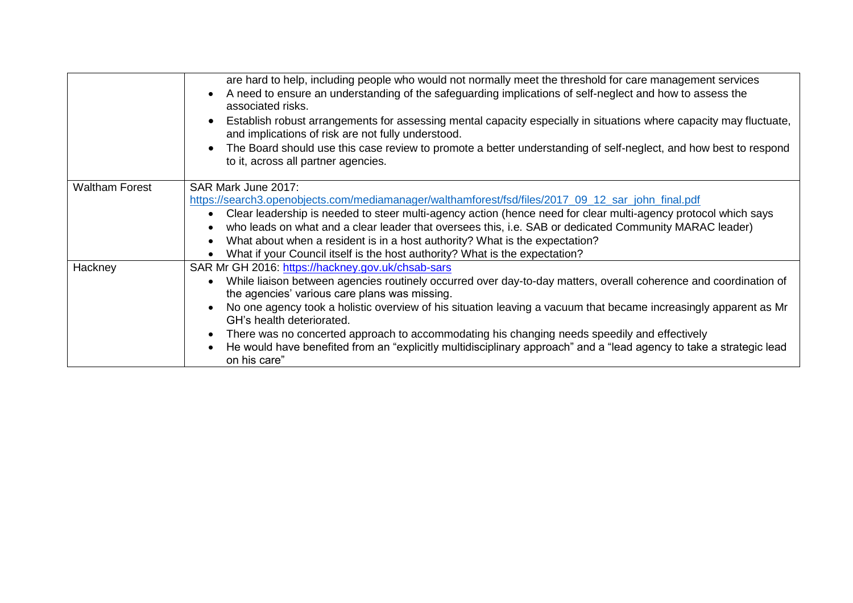|                       | are hard to help, including people who would not normally meet the threshold for care management services<br>A need to ensure an understanding of the safeguarding implications of self-neglect and how to assess the<br>associated risks.<br>Establish robust arrangements for assessing mental capacity especially in situations where capacity may fluctuate,<br>$\bullet$<br>and implications of risk are not fully understood.<br>The Board should use this case review to promote a better understanding of self-neglect, and how best to respond<br>to it, across all partner agencies.                 |
|-----------------------|----------------------------------------------------------------------------------------------------------------------------------------------------------------------------------------------------------------------------------------------------------------------------------------------------------------------------------------------------------------------------------------------------------------------------------------------------------------------------------------------------------------------------------------------------------------------------------------------------------------|
|                       |                                                                                                                                                                                                                                                                                                                                                                                                                                                                                                                                                                                                                |
| <b>Waltham Forest</b> | SAR Mark June 2017:<br>https://search3.openobjects.com/mediamanager/walthamforest/fsd/files/2017_09_12_sar_john_final.pdf<br>Clear leadership is needed to steer multi-agency action (hence need for clear multi-agency protocol which says<br>who leads on what and a clear leader that oversees this, i.e. SAB or dedicated Community MARAC leader)<br>What about when a resident is in a host authority? What is the expectation?<br>What if your Council itself is the host authority? What is the expectation?                                                                                            |
| Hackney               | SAR Mr GH 2016: https://hackney.gov.uk/chsab-sars<br>While liaison between agencies routinely occurred over day-to-day matters, overall coherence and coordination of<br>the agencies' various care plans was missing.<br>No one agency took a holistic overview of his situation leaving a vacuum that became increasingly apparent as Mr<br>GH's health deteriorated.<br>There was no concerted approach to accommodating his changing needs speedily and effectively<br>He would have benefited from an "explicitly multidisciplinary approach" and a "lead agency to take a strategic lead<br>on his care" |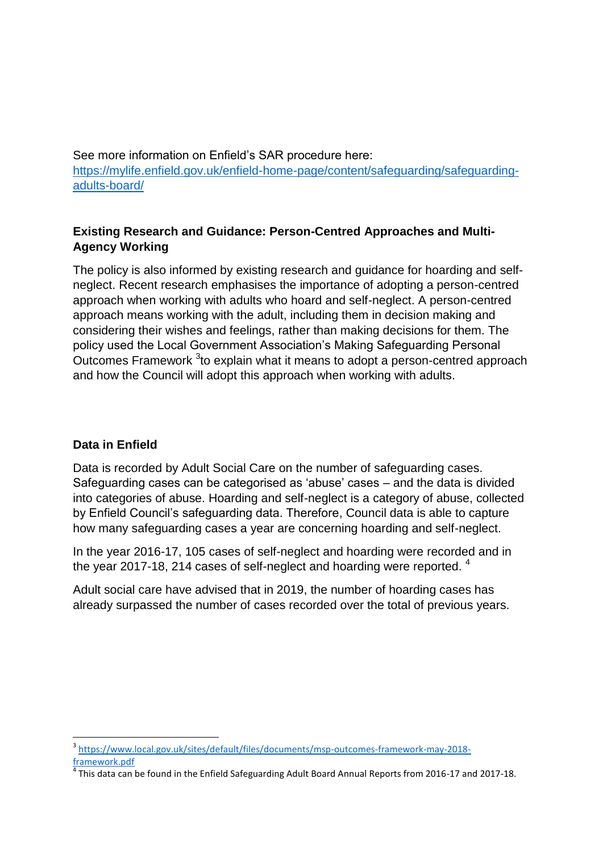See more information on Enfield's SAR procedure here: [https://mylife.enfield.gov.uk/enfield-home-page/content/safeguarding/safeguarding](https://mylife.enfield.gov.uk/enfield-home-page/content/safeguarding/safeguarding-adults-board/)[adults-board/](https://mylife.enfield.gov.uk/enfield-home-page/content/safeguarding/safeguarding-adults-board/)

## **Existing Research and Guidance: Person-Centred Approaches and Multi-Agency Working**

The policy is also informed by existing research and guidance for hoarding and selfneglect. Recent research emphasises the importance of adopting a person-centred approach when working with adults who hoard and self-neglect. A person-centred approach means working with the adult, including them in decision making and considering their wishes and feelings, rather than making decisions for them. The policy used the Local Government Association's Making Safeguarding Personal Outcomes Framework <sup>3</sup>to explain what it means to adopt a person-centred approach and how the Council will adopt this approach when working with adults.

### **Data in Enfield**

**.** 

Data is recorded by Adult Social Care on the number of safeguarding cases. Safeguarding cases can be categorised as 'abuse' cases – and the data is divided into categories of abuse. Hoarding and self-neglect is a category of abuse, collected by Enfield Council's safeguarding data. Therefore, Council data is able to capture how many safeguarding cases a year are concerning hoarding and self-neglect.

In the year 2016-17, 105 cases of self-neglect and hoarding were recorded and in the year 2017-18, 214 cases of self-neglect and hoarding were reported. <sup>4</sup>

Adult social care have advised that in 2019, the number of hoarding cases has already surpassed the number of cases recorded over the total of previous years.

<sup>3</sup> [https://www.local.gov.uk/sites/default/files/documents/msp-outcomes-framework-may-2018](https://www.local.gov.uk/sites/default/files/documents/msp-outcomes-framework-may-2018-framework.pdf) [framework.pdf](https://www.local.gov.uk/sites/default/files/documents/msp-outcomes-framework-may-2018-framework.pdf)

 $^4$  This data can be found in the Enfield Safeguarding Adult Board Annual Reports from 2016-17 and 2017-18.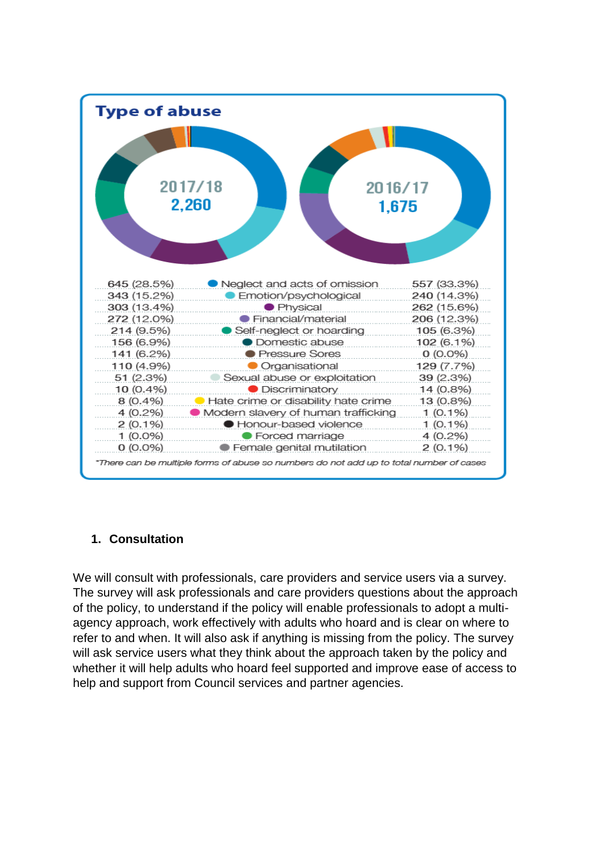

# **1. Consultation**

We will consult with professionals, care providers and service users via a survey. The survey will ask professionals and care providers questions about the approach of the policy, to understand if the policy will enable professionals to adopt a multiagency approach, work effectively with adults who hoard and is clear on where to refer to and when. It will also ask if anything is missing from the policy. The survey will ask service users what they think about the approach taken by the policy and whether it will help adults who hoard feel supported and improve ease of access to help and support from Council services and partner agencies.